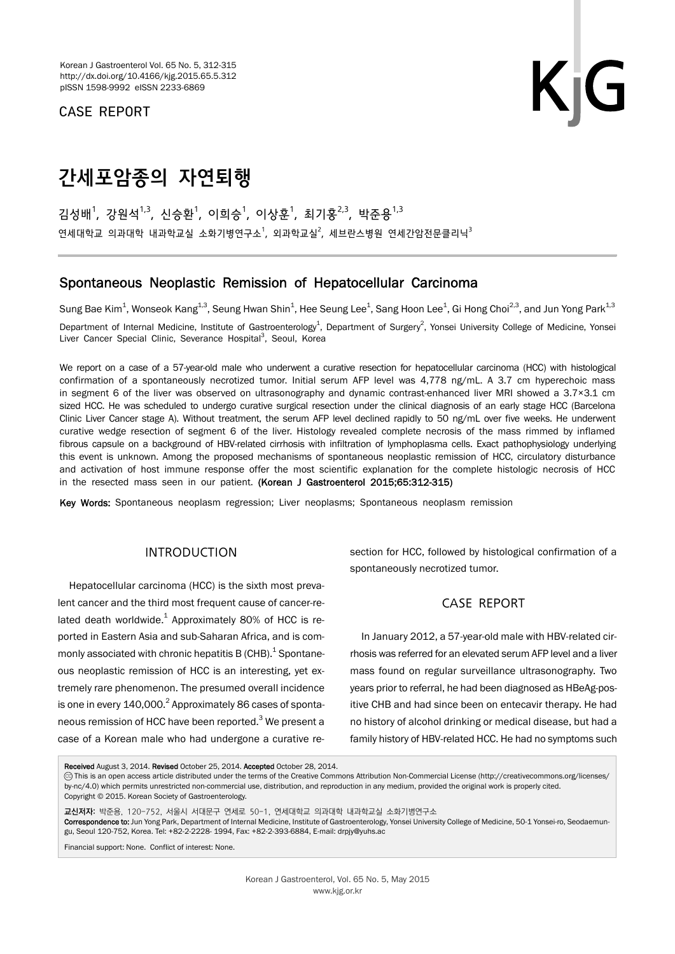CASE REPORT

# 간세포암종의 자연퇴행

김성배<sup>1</sup>, 강원석<sup>1,3</sup>, 신승환<sup>1</sup>, 이희승<sup>1</sup>, 이상훈<sup>1</sup>, 최기홍<sup>2,3</sup>, 박준용<sup>1,3</sup> 연세대학교 의과대학 내과학교실 소화기병연구소<sup>1</sup>, 외과학교실<sup>2</sup>, 세브란스병원 연세간암전문클리닉<sup>3</sup>

## Spontaneous Neoplastic Remission of Hepatocellular Carcinoma

Sung Bae Kim $^1$ , Wonseok Kang $^{1,3}$ , Seung Hwan Shin $^1$ , Hee Seung Lee $^1$ , Sang Hoon Lee $^1$ , Gi Hong Choi $^{2,3}$ , and Jun Yong Park $^{1,3}$ Department of Internal Medicine, Institute of Gastroenterology<sup>1</sup>, Department of Surgery<sup>2</sup>, Yonsei University College of Medicine, Yonsei Liver Cancer Special Clinic, Severance Hospital<sup>3</sup>, Seoul, Korea

We report on a case of a 57-year-old male who underwent a curative resection for hepatocellular carcinoma (HCC) with histological confirmation of a spontaneously necrotized tumor. Initial serum AFP level was 4,778 ng/mL. A 3.7 cm hyperechoic mass in segment 6 of the liver was observed on ultrasonography and dynamic contrast-enhanced liver MRI showed a 3.7×3.1 cm sized HCC. He was scheduled to undergo curative surgical resection under the clinical diagnosis of an early stage HCC (Barcelona Clinic Liver Cancer stage A). Without treatment, the serum AFP level declined rapidly to 50 ng/mL over five weeks. He underwent curative wedge resection of segment 6 of the liver. Histology revealed complete necrosis of the mass rimmed by inflamed fibrous capsule on a background of HBV-related cirrhosis with infiltration of lymphoplasma cells. Exact pathophysiology underlying this event is unknown. Among the proposed mechanisms of spontaneous neoplastic remission of HCC, circulatory disturbance and activation of host immune response offer the most scientific explanation for the complete histologic necrosis of HCC in the resected mass seen in our patient. (Korean J Gastroenterol 2015;65:312-315)

Key Words: Spontaneous neoplasm regression; Liver neoplasms; Spontaneous neoplasm remission

## INTRODUCTION

Hepatocellular carcinoma (HCC) is the sixth most prevalent cancer and the third most frequent cause of cancer-related death worldwide. $^{1}$  Approximately 80% of HCC is reported in Eastern Asia and sub-Saharan Africa, and is commonly associated with chronic hepatitis B (CHB). $^{1}$  Spontaneous neoplastic remission of HCC is an interesting, yet extremely rare phenomenon. The presumed overall incidence is one in every  $140,000.<sup>2</sup>$  Approximately 86 cases of spontaneous remission of HCC have been reported.<sup>3</sup> We present a case of a Korean male who had undergone a curative resection for HCC, followed by histological confirmation of a spontaneously necrotized tumor.

## CASE REPORT

In January 2012, a 57-year-old male with HBV-related cirrhosis was referred for an elevated serum AFP level and a liver mass found on regular surveillance ultrasonography. Two years prior to referral, he had been diagnosed as HBeAg-positive CHB and had since been on entecavir therapy. He had no history of alcohol drinking or medical disease, but had a family history of HBV-related HCC. He had no symptoms such

Received August 3, 2014. Revised October 25, 2014. Accepted October 28, 2014.

CC This is an open access article distributed under the terms of the Creative Commons Attribution Non-Commercial License (http://creativecommons.org/licenses/ by-nc/4.0) which permits unrestricted non-commercial use, distribution, and reproduction in any medium, provided the original work is properly cited. Copyright © 2015. Korean Society of Gastroenterology.

교신저자: 박준용, 120-752, 서울시 서대문구 연세로 50-1, 연세대학교 의과대학 내과학교실 소화기병연구소 Correspondence to: Jun Yong Park, Department of Internal Medicine, Institute of Gastroenterology, Yonsei University College of Medicine, 50-1 Yonsei-ro, Seodaemungu, Seoul 120-752, Korea. Tel: +82-2-2228- 1994, Fax: +82-2-393-6884, E-mail: drpjy@yuhs.ac

Financial support: None. Conflict of interest: None.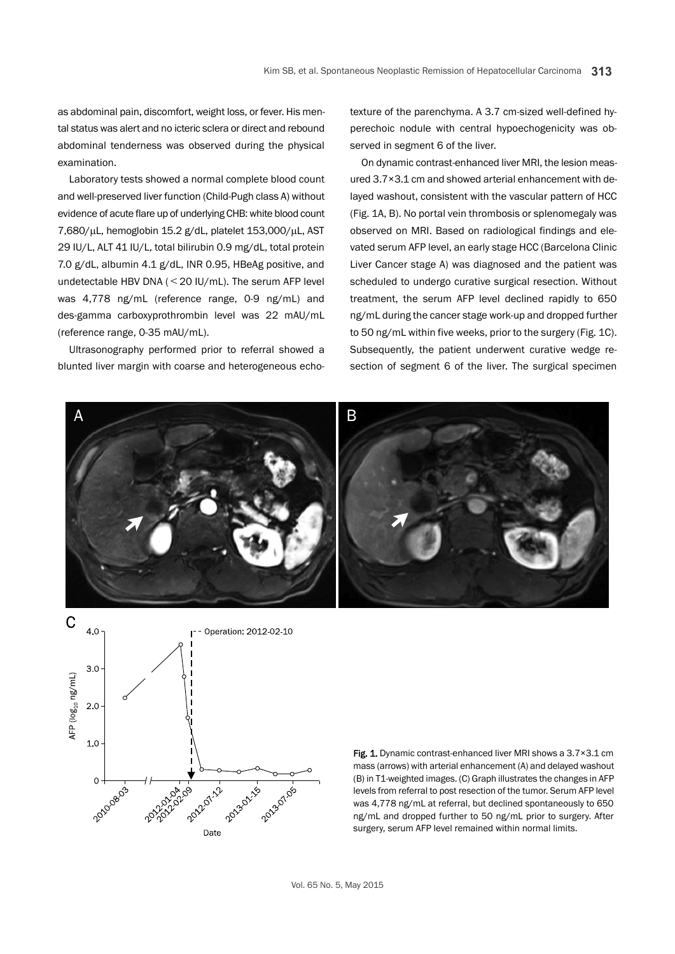as abdominal pain, discomfort, weight loss, or fever. His mental status was alert and no icteric sclera or direct and rebound abdominal tenderness was observed during the physical examination.

Laboratory tests showed a normal complete blood count and well-preserved liver function (Child-Pugh class A) without evidence of acute flare up of underlying CHB: white blood count  $7,680/\mu$ L, hemoglobin 15.2 g/dL, platelet 153,000/ $\mu$ L, AST 29 IU/L, ALT 41 IU/L, total bilirubin 0.9 mg/dL, total protein 7.0 g/dL, albumin 4.1 g/dL, INR 0.95, HBeAg positive, and undetectable HBV DNA (<20 IU/mL). The serum AFP level was 4,778 ng/mL (reference range, 0-9 ng/mL) and des-gamma carboxyprothrombin level was 22 mAU/mL (reference range, 0-35 mAU/mL).

Ultrasonography performed prior to referral showed a blunted liver margin with coarse and heterogeneous echotexture of the parenchyma. A 3.7 cm-sized well-defined hyperechoic nodule with central hypoechogenicity was observed in segment 6 of the liver.

On dynamic contrast-enhanced liver MRI, the lesion measured 3.7×3.1 cm and showed arterial enhancement with delayed washout, consistent with the vascular pattern of HCC (Fig. 1A, B). No portal vein thrombosis or splenomegaly was observed on MRI. Based on radiological findings and elevated serum AFP level, an early stage HCC (Barcelona Clinic Liver Cancer stage A) was diagnosed and the patient was scheduled to undergo curative surgical resection. Without treatment, the serum AFP level declined rapidly to 650 ng/mL during the cancer stage work-up and dropped further to 50 ng/mL within five weeks, prior to the surgery (Fig. 1C). Subsequently, the patient underwent curative wedge resection of segment 6 of the liver. The surgical specimen





Fig. 1. Dynamic contrast-enhanced liver MRI shows a 3.7×3.1 cm mass (arrows) with arterial enhancement (A) and delayed washout (B) in T1-weighted images. (C) Graph illustrates the changes in AFP levels from referral to post resection of the tumor. Serum AFP level was 4,778 ng/mL at referral, but declined spontaneously to 650 ng/mL and dropped further to 50 ng/mL prior to surgery. After surgery, serum AFP level remained within normal limits.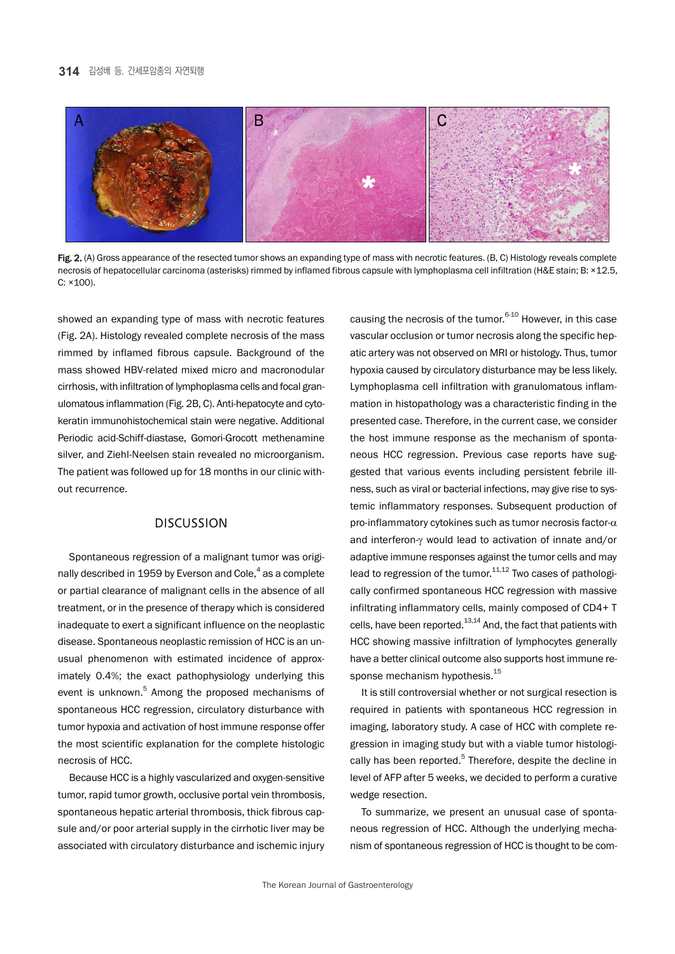

Fig. 2. (A) Gross appearance of the resected tumor shows an expanding type of mass with necrotic features. (B, C) Histology reveals complete necrosis of hepatocellular carcinoma (asterisks) rimmed by inflamed fibrous capsule with lymphoplasma cell infiltration (H&E stain; B: ×12.5, C: ×100).

showed an expanding type of mass with necrotic features (Fig. 2A). Histology revealed complete necrosis of the mass rimmed by inflamed fibrous capsule. Background of the mass showed HBV-related mixed micro and macronodular cirrhosis, with infiltration of lymphoplasma cells and focal granulomatous inflammation (Fig. 2B, C). Anti-hepatocyte and cytokeratin immunohistochemical stain were negative. Additional Periodic acid-Schiff-diastase, Gomori-Grocott methenamine silver, and Ziehl-Neelsen stain revealed no microorganism. The patient was followed up for 18 months in our clinic without recurrence.

## **DISCUSSION**

Spontaneous regression of a malignant tumor was originally described in 1959 by Everson and Cole,<sup>4</sup> as a complete or partial clearance of malignant cells in the absence of all treatment, or in the presence of therapy which is considered inadequate to exert a significant influence on the neoplastic disease. Spontaneous neoplastic remission of HCC is an unusual phenomenon with estimated incidence of approximately 0.4%; the exact pathophysiology underlying this event is unknown.<sup>5</sup> Among the proposed mechanisms of spontaneous HCC regression, circulatory disturbance with tumor hypoxia and activation of host immune response offer the most scientific explanation for the complete histologic necrosis of HCC.

Because HCC is a highly vascularized and oxygen-sensitive tumor, rapid tumor growth, occlusive portal vein thrombosis, spontaneous hepatic arterial thrombosis, thick fibrous capsule and/or poor arterial supply in the cirrhotic liver may be associated with circulatory disturbance and ischemic injury

causing the necrosis of the tumor.<sup>6-10</sup> However, in this case vascular occlusion or tumor necrosis along the specific hepatic artery was not observed on MRI or histology. Thus, tumor hypoxia caused by circulatory disturbance may be less likely. Lymphoplasma cell infiltration with granulomatous inflammation in histopathology was a characteristic finding in the presented case. Therefore, in the current case, we consider the host immune response as the mechanism of spontaneous HCC regression. Previous case reports have suggested that various events including persistent febrile illness, such as viral or bacterial infections, may give rise to systemic inflammatory responses. Subsequent production of pro-inflammatory cytokines such as tumor necrosis factor- $\alpha$ and interferon- $\gamma$  would lead to activation of innate and/or adaptive immune responses against the tumor cells and may lead to regression of the tumor.<sup>11,12</sup> Two cases of pathologically confirmed spontaneous HCC regression with massive infiltrating inflammatory cells, mainly composed of CD4+ T cells, have been reported.<sup>13,14</sup> And, the fact that patients with HCC showing massive infiltration of lymphocytes generally have a better clinical outcome also supports host immune response mechanism hypothesis.<sup>15</sup>

It is still controversial whether or not surgical resection is required in patients with spontaneous HCC regression in imaging, laboratory study. A case of HCC with complete regression in imaging study but with a viable tumor histologically has been reported.<sup>5</sup> Therefore, despite the decline in level of AFP after 5 weeks, we decided to perform a curative wedge resection.

To summarize, we present an unusual case of spontaneous regression of HCC. Although the underlying mechanism of spontaneous regression of HCC is thought to be com